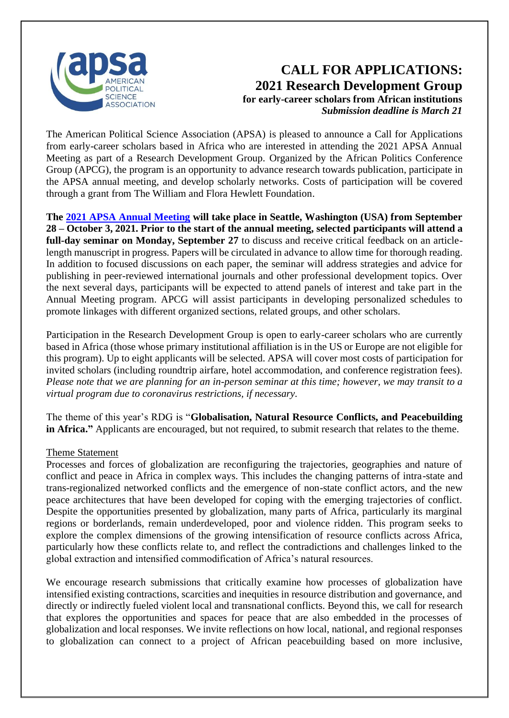

## **CALL FOR APPLICATIONS: 2021 Research Development Group for early-career scholars from African institutions** *Submission deadline is March 21*

The American Political Science Association (APSA) is pleased to announce a Call for Applications from early-career scholars based in Africa who are interested in attending the 2021 APSA Annual Meeting as part of a Research Development Group. Organized by the African Politics Conference Group (APCG), the program is an opportunity to advance research towards publication, participate in the APSA annual meeting, and develop scholarly networks. Costs of participation will be covered through a grant from The William and Flora Hewlett Foundation.

**The [2021 APSA Annual Meeting](https://www.apsanet.org/annualmeeting) will take place in Seattle, Washington (USA) from September 28 – October 3, 2021. Prior to the start of the annual meeting, selected participants will attend a full-day seminar on Monday, September 27** to discuss and receive critical feedback on an articlelength manuscript in progress. Papers will be circulated in advance to allow time for thorough reading. In addition to focused discussions on each paper, the seminar will address strategies and advice for publishing in peer-reviewed international journals and other professional development topics. Over the next several days, participants will be expected to attend panels of interest and take part in the Annual Meeting program. APCG will assist participants in developing personalized schedules to promote linkages with different organized sections, related groups, and other scholars.

Participation in the Research Development Group is open to early-career scholars who are currently based in Africa (those whose primary institutional affiliation is in the US or Europe are not eligible for this program). Up to eight applicants will be selected. APSA will cover most costs of participation for invited scholars (including roundtrip airfare, hotel accommodation, and conference registration fees). *Please note that we are planning for an in-person seminar at this time; however, we may transit to a virtual program due to coronavirus restrictions, if necessary.* 

The theme of this year's RDG is "**Globalisation, Natural Resource Conflicts, and Peacebuilding in Africa."** Applicants are encouraged, but not required, to submit research that relates to the theme.

## Theme Statement

Processes and forces of globalization are reconfiguring the trajectories, geographies and nature of conflict and peace in Africa in complex ways. This includes the changing patterns of intra-state and trans-regionalized networked conflicts and the emergence of non-state conflict actors, and the new peace architectures that have been developed for coping with the emerging trajectories of conflict. Despite the opportunities presented by globalization, many parts of Africa, particularly its marginal regions or borderlands, remain underdeveloped, poor and violence ridden. This program seeks to explore the complex dimensions of the growing intensification of resource conflicts across Africa, particularly how these conflicts relate to, and reflect the contradictions and challenges linked to the global extraction and intensified commodification of Africa's natural resources.

We encourage research submissions that critically examine how processes of globalization have intensified existing contractions, scarcities and inequities in resource distribution and governance, and directly or indirectly fueled violent local and transnational conflicts. Beyond this, we call for research that explores the opportunities and spaces for peace that are also embedded in the processes of globalization and local responses. We invite reflections on how local, national, and regional responses to globalization can connect to a project of African peacebuilding based on more inclusive,